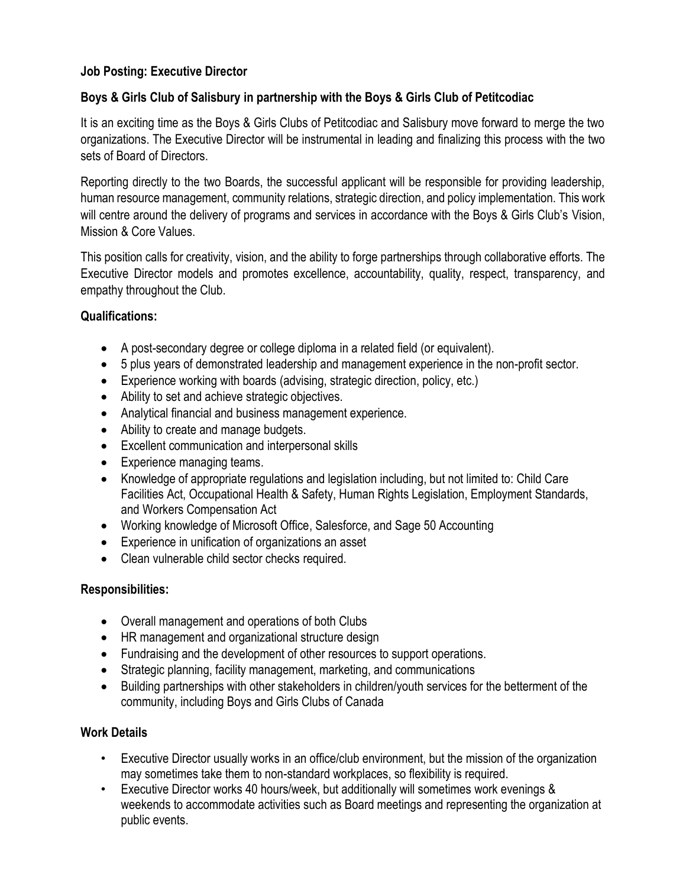### **Job Posting: Executive Director**

## **Boys & Girls Club of Salisbury in partnership with the Boys & Girls Club of Petitcodiac**

It is an exciting time as the Boys & Girls Clubs of Petitcodiac and Salisbury move forward to merge the two organizations. The Executive Director will be instrumental in leading and finalizing this process with the two sets of Board of Directors.

Reporting directly to the two Boards, the successful applicant will be responsible for providing leadership, human resource management, community relations, strategic direction, and policy implementation. This work will centre around the delivery of programs and services in accordance with the Boys & Girls Club's Vision, Mission & Core Values.

This position calls for creativity, vision, and the ability to forge partnerships through collaborative efforts. The Executive Director models and promotes excellence, accountability, quality, respect, transparency, and empathy throughout the Club.

#### **Qualifications:**

- A post-secondary degree or college diploma in a related field (or equivalent).
- 5 plus years of demonstrated leadership and management experience in the non-profit sector.
- Experience working with boards (advising, strategic direction, policy, etc.)
- Ability to set and achieve strategic objectives.
- Analytical financial and business management experience.
- Ability to create and manage budgets.
- Excellent communication and interpersonal skills
- Experience managing teams.
- Knowledge of appropriate regulations and legislation including, but not limited to: Child Care Facilities Act, Occupational Health & Safety, Human Rights Legislation, Employment Standards, and Workers Compensation Act
- Working knowledge of Microsoft Office, Salesforce, and Sage 50 Accounting
- Experience in unification of organizations an asset
- Clean vulnerable child sector checks required.

#### **Responsibilities:**

- Overall management and operations of both Clubs
- HR management and organizational structure design
- Fundraising and the development of other resources to support operations.
- Strategic planning, facility management, marketing, and communications
- Building partnerships with other stakeholders in children/youth services for the betterment of the community, including Boys and Girls Clubs of Canada

#### **Work Details**

- Executive Director usually works in an office/club environment, but the mission of the organization may sometimes take them to non-standard workplaces, so flexibility is required.
- Executive Director works 40 hours/week, but additionally will sometimes work evenings & weekends to accommodate activities such as Board meetings and representing the organization at public events.